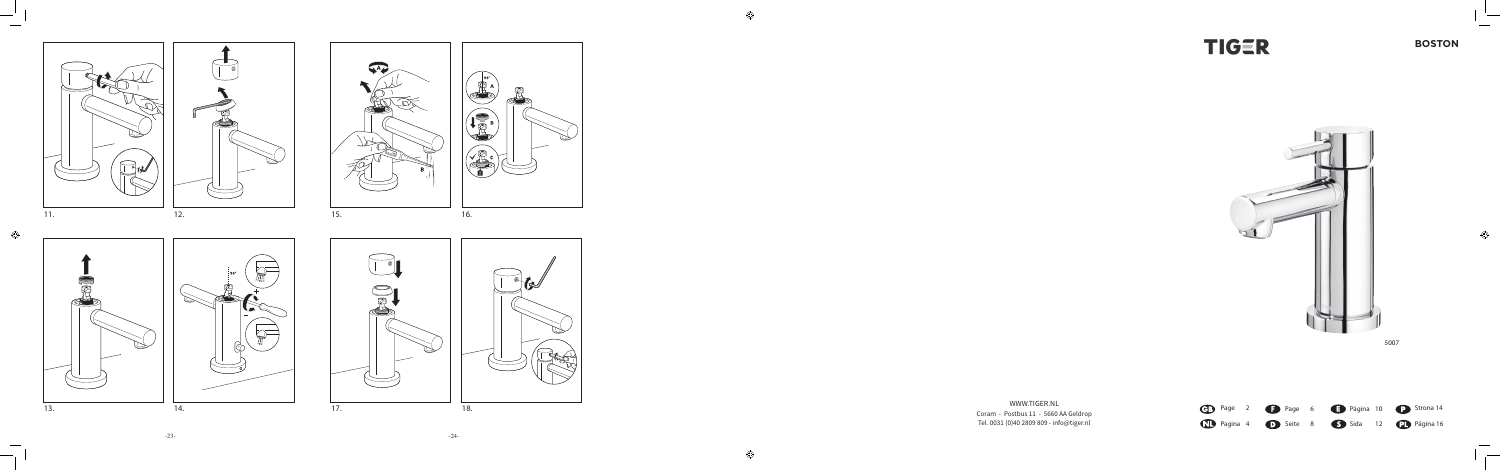

 $\frac{1}{2}$ 

 $\bigoplus$ 

WWW.TIGER.NL

Coram - Postbus 11 - 5660 AA Geldrop Tel. 0031 (0)40 2809 809 - info@tiger.nl



 $\bigoplus$ 

 $\bigoplus$ 









 $\left(\bigcap_{B} B\right)$  $\sqrt{\frac{2}{10}}$ 

 $11.$  12. 12. 15. 15. 16.





-24-



# **BOSTON**

 $\bigoplus$ 

Page 6 Seite 8 S Sida 12 PL Página 16 P**Strona 14**